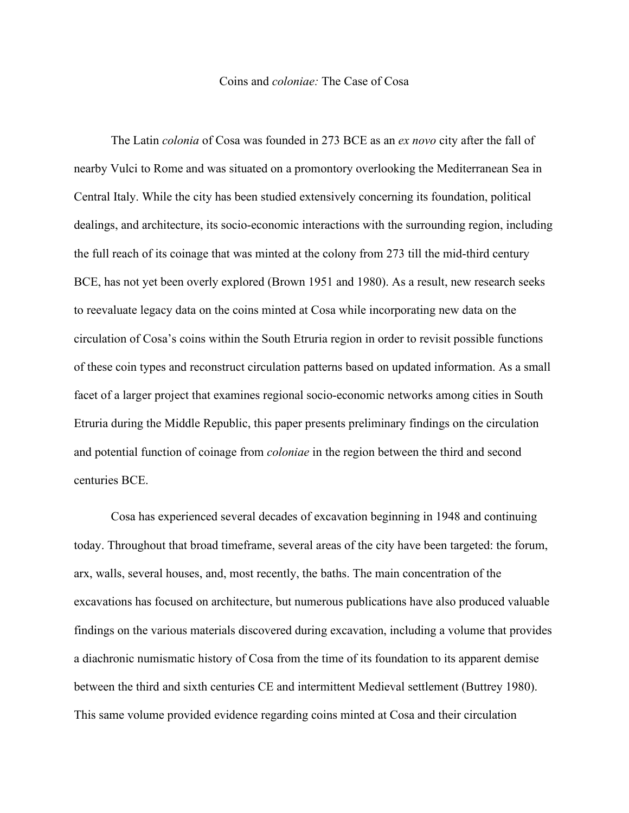## Coins and *coloniae:* The Case of Cosa

The Latin *colonia* of Cosa was founded in 273 BCE as an *ex novo* city after the fall of nearby Vulci to Rome and was situated on a promontory overlooking the Mediterranean Sea in Central Italy. While the city has been studied extensively concerning its foundation, political dealings, and architecture, its socio-economic interactions with the surrounding region, including the full reach of its coinage that was minted at the colony from 273 till the mid-third century BCE, has not yet been overly explored (Brown 1951 and 1980). As a result, new research seeks to reevaluate legacy data on the coins minted at Cosa while incorporating new data on the circulation of Cosa's coins within the South Etruria region in order to revisit possible functions of these coin types and reconstruct circulation patterns based on updated information. As a small facet of a larger project that examines regional socio-economic networks among cities in South Etruria during the Middle Republic, this paper presents preliminary findings on the circulation and potential function of coinage from *coloniae* in the region between the third and second centuries BCE.

Cosa has experienced several decades of excavation beginning in 1948 and continuing today. Throughout that broad timeframe, several areas of the city have been targeted: the forum, arx, walls, several houses, and, most recently, the baths. The main concentration of the excavations has focused on architecture, but numerous publications have also produced valuable findings on the various materials discovered during excavation, including a volume that provides a diachronic numismatic history of Cosa from the time of its foundation to its apparent demise between the third and sixth centuries CE and intermittent Medieval settlement (Buttrey 1980). This same volume provided evidence regarding coins minted at Cosa and their circulation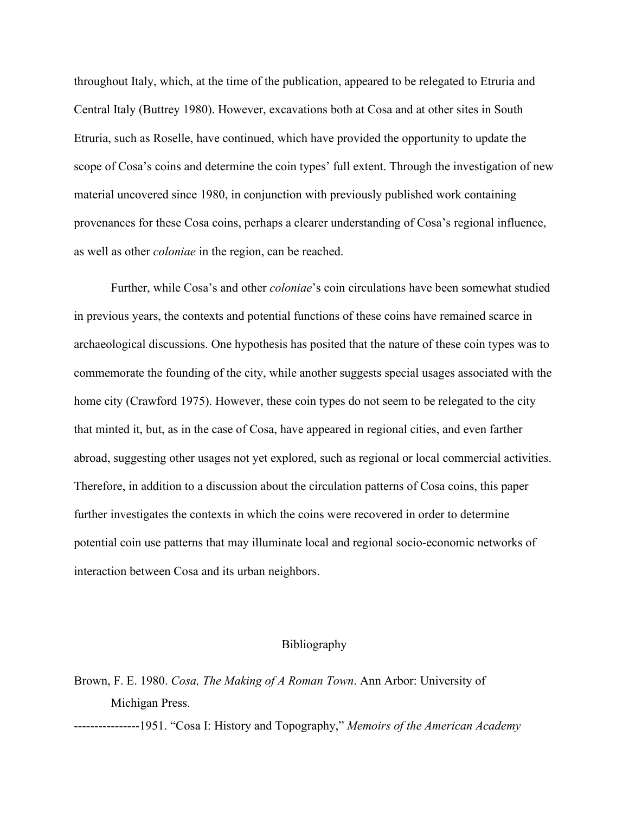throughout Italy, which, at the time of the publication, appeared to be relegated to Etruria and Central Italy (Buttrey 1980). However, excavations both at Cosa and at other sites in South Etruria, such as Roselle, have continued, which have provided the opportunity to update the scope of Cosa's coins and determine the coin types' full extent. Through the investigation of new material uncovered since 1980, in conjunction with previously published work containing provenances for these Cosa coins, perhaps a clearer understanding of Cosa's regional influence, as well as other *coloniae* in the region, can be reached.

Further, while Cosa's and other *coloniae*'s coin circulations have been somewhat studied in previous years, the contexts and potential functions of these coins have remained scarce in archaeological discussions. One hypothesis has posited that the nature of these coin types was to commemorate the founding of the city, while another suggests special usages associated with the home city (Crawford 1975). However, these coin types do not seem to be relegated to the city that minted it, but, as in the case of Cosa, have appeared in regional cities, and even farther abroad, suggesting other usages not yet explored, such as regional or local commercial activities. Therefore, in addition to a discussion about the circulation patterns of Cosa coins, this paper further investigates the contexts in which the coins were recovered in order to determine potential coin use patterns that may illuminate local and regional socio-economic networks of interaction between Cosa and its urban neighbors.

## Bibliography

## Brown, F. E. 1980. *Cosa, The Making of A Roman Town*. Ann Arbor: University of Michigan Press.

----------------1951. "Cosa I: History and Topography," *Memoirs of the American Academy*